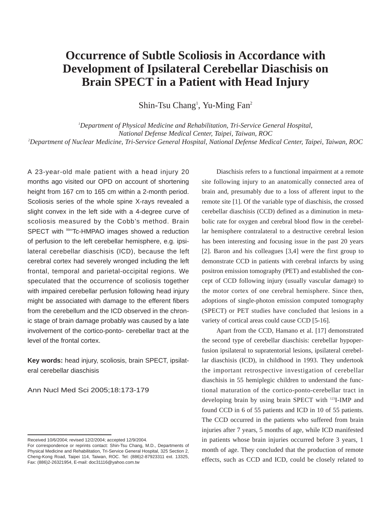## **Occurrence of Subtle Scoliosis in Accordance with Development of Ipsilateral Cerebellar Diaschisis on Brain SPECT in a Patient with Head Injury**

Shin-Tsu Chang<sup>1</sup>, Yu-Ming Fan<sup>2</sup>

*1 Department of Physical Medicine and Rehabilitation, Tri-Service General Hospital, National Defense Medical Center, Taipei, Taiwan, ROC 2 Department of Nuclear Medicine, Tri-Service General Hospital, National Defense Medical Center, Taipei, Taiwan, ROC*

A 23-year-old male patient with a head injury 20 months ago visited our OPD on account of shortening height from 167 cm to 165 cm within a 2-month period. Scoliosis series of the whole spine X-rays revealed a slight convex in the left side with a 4-degree curve of scoliosis measured by the Cobb's method. Brain SPECT with <sup>99m</sup>Tc-HMPAO images showed a reduction of perfusion to the left cerebellar hemisphere, e.g. ipsilateral cerebellar diaschisis (ICD), because the left cerebral cortex had severely wronged including the left frontal, temporal and parietal-occipital regions. We speculated that the occurrence of scoliosis together with impaired cerebellar perfusion following head injury might be associated with damage to the efferent fibers from the cerebellum and the ICD observed in the chronic stage of brain damage probably was caused by a late involvement of the cortico-ponto- cerebellar tract at the level of the frontal cortex.

**Key words:** head injury, scoliosis, brain SPECT, ipsilateral cerebellar diaschisis

Ann Nucl Med Sci 2005;18:173-179

Diaschisis refers to a functional impairment at a remote site following injury to an anatomically connected area of brain and, presumably due to a loss of afferent input to the remote site [1]. Of the variable type of diaschisis, the crossed cerebellar diaschisis (CCD) defined as a diminution in metabolic rate for oxygen and cerebral blood flow in the cerebellar hemisphere contralateral to a destructive cerebral lesion has been interesting and focusing issue in the past 20 years [2]. Baron and his colleagues [3,4] were the first group to demonstrate CCD in patients with cerebral infarcts by using positron emission tomography (PET) and established the concept of CCD following injury (usually vascular damage) to the motor cortex of one cerebral hemisphere. Since then, adoptions of single-photon emission computed tomography (SPECT) or PET studies have concluded that lesions in a variety of cortical areas could cause CCD [5-16].

Apart from the CCD, Hamano et al. [17] demonstrated the second type of cerebellar diaschisis: cerebellar hypoperfusion ipsilateral to supratentorial lesions, ipsilateral cerebellar diaschisis (ICD), in childhood in 1993. They undertook the important retrospective investigation of cerebellar diaschisis in 55 hemiplegic children to understand the functional maturation of the cortico-ponto-cerebellar tract in developing brain by using brain SPECT with 123I-IMP and found CCD in 6 of 55 patients and ICD in 10 of 55 patients. The CCD occurred in the patients who suffered from brain injuries after 7 years, 5 months of age, while ICD manifested in patients whose brain injuries occurred before 3 years, 1 month of age. They concluded that the production of remote effects, such as CCD and ICD, could be closely related to

Received 10/6/2004; revised 12/2/2004; accepted 12/9/2004.

For correspondence or reprints contact: Shin-Tsu Chang, M.D., Departments of Physical Medicine and Rehabilitation, Tri-Service General Hospital, 325 Section 2, Cheng-Kong Road, Taipei 114, Taiwan, ROC. Tel: (886)2-87923311 ext. 13325, Fax: (886)2-26321954, E-mail: doc31116@yahoo.com.tw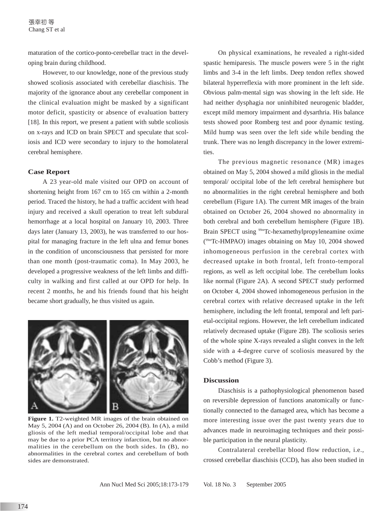maturation of the cortico-ponto-cerebellar tract in the developing brain during childhood.

However, to our knowledge, none of the previous study showed scoliosis associated with cerebellar diaschisis. The majority of the ignorance about any cerebellar component in the clinical evaluation might be masked by a significant motor deficit, spasticity or absence of evaluation battery [18]. In this report, we present a patient with subtle scoliosis on x-rays and ICD on brain SPECT and speculate that scoliosis and ICD were secondary to injury to the homolateral cerebral hemisphere.

#### **Case Report**

A 23 year-old male visited our OPD on account of shortening height from 167 cm to 165 cm within a 2-month period. Traced the history, he had a traffic accident with head injury and received a skull operation to treat left subdural hemorrhage at a local hospital on January 10, 2003. Three days later (January 13, 2003), he was transferred to our hospital for managing fracture in the left ulna and femur bones in the condition of unconsciousness that persisted for more than one month (post-traumatic coma). In May 2003, he developed a progressive weakness of the left limbs and difficulty in walking and first called at our OPD for help. In recent 2 months, he and his friends found that his height became short gradually, he thus visited us again.



**Figure 1.** T2-weighted MR images of the brain obtained on May 5, 2004 (A) and on October 26, 2004 (B). In (A), a mild gliosis of the left medial temporal/occipital lobe and that may be due to a prior PCA territory infarction, but no abnormalities in the cerebellum on the both sides. In (B), no abnormalities in the cerebral cortex and cerebellum of both sides are demonstrated.

On physical examinations, he revealed a right-sided spastic hemiparesis. The muscle powers were 5 in the right limbs and 3-4 in the left limbs. Deep tendon reflex showed bilateral hyperreflexia with more prominent in the left side. Obvious palm-mental sign was showing in the left side. He had neither dysphagia nor uninhibited neurogenic bladder, except mild memory impairment and dysarthria. His balance tests showed poor Romberg test and poor dynamic testing. Mild hump was seen over the left side while bending the trunk. There was no length discrepancy in the lower extremities.

The previous magnetic resonance (MR) images obtained on May 5, 2004 showed a mild gliosis in the medial temporal/ occipital lobe of the left cerebral hemisphere but no abnormalities in the right cerebral hemisphere and both cerebellum (Figure 1A). The current MR images of the brain obtained on October 26, 2004 showed no abnormality in both cerebral and both cerebellum hemisphere (Figure 1B). Brain SPECT using <sup>99m</sup>Tc-hexamethylpropyleneamine oxime ( 99mTc-HMPAO) images obtaining on May 10, 2004 showed inhomogeneous perfusion in the cerebral cortex with decreased uptake in both frontal, left fronto-temporal regions, as well as left occipital lobe. The cerebellum looks like normal (Figure 2A). A second SPECT study performed on October 4, 2004 showed inhomogeneous perfusion in the cerebral cortex with relative decreased uptake in the left hemisphere, including the left frontal, temporal and left parietal-occipital regions. However, the left cerebellum indicated relatively decreased uptake (Figure 2B). The scoliosis series of the whole spine X-rays revealed a slight convex in the left side with a 4-degree curve of scoliosis measured by the Cobb's method (Figure 3).

#### **Discussion**

Diaschisis is a pathophysiological phenomenon based on reversible depression of functions anatomically or functionally connected to the damaged area, which has become a more interesting issue over the past twenty years due to advances made in neuroimaging techniques and their possible participation in the neural plasticity.

Contralateral cerebellar blood flow reduction, i.e., crossed cerebellar diaschisis (CCD), has also been studied in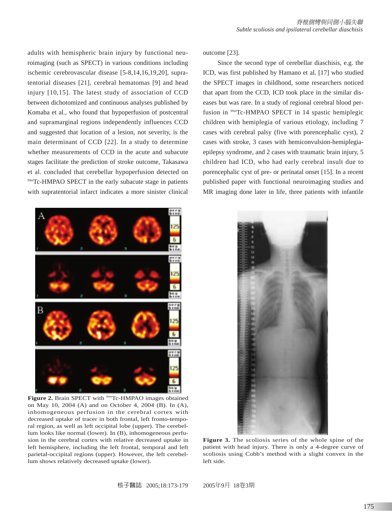adults with hemispheric brain injury by functional neuroimaging (such as SPECT) in various conditions including ischemic cerebrovascular disease [5-8,14,16,19,20], supratentorial diseases [21], cerebral hematomas [9] and head injury [10,15]. The latest study of association of CCD between dichotomized and continuous analyses published by Komaba et al., who found that hypoperfusion of postcentral and supramarginal regions independently influences CCD and suggested that location of a lesion, not severity, is the main determinant of CCD [22]. In a study to determine whether measurements of CCD in the acute and subacute stages facilitate the prediction of stroke outcome, Takasawa et al. concluded that cerebellar hypoperfusion detected on <sup>99mT</sup>C-HMPAO SPECT in the early subacute stage in patients with supratentorial infarct indicates a more sinister clinical



Figure 2. Brain SPECT with <sup>99mT</sup>C-HMPAO images obtained on May 10, 2004 (A) and on October 4, 2004 (B). In (A), inhomogeneous perfusion in the cerebral cortex with decreased uptake of tracer in both frontal, left fronto-temporal region, as well as left occipital lobe (upper). The cerebellum looks like normal (lower). In (B), inhomogeneous perfusion in the cerebral cortex with relative decreased uptake in left hemisphere, including the left frontal, temporal and left parietal-occipital regions (upper). However, the left cerebellum shows relatively decreased uptake (lower).

outcome [23].

Since the second type of cerebellar diaschisis, e.g. the ICD, was first published by Hamano et al. [17] who studied the SPECT images in childhood, some researchers noticed that apart from the CCD, ICD took place in the similar diseases but was rare. In a study of regional cerebral blood perfusion in <sup>99m</sup>Tc-HMPAO SPECT in 14 spastic hemiplegic children with hemiplegia of various etiology, including 7 cases with cerebral palsy (five with porencephalic cyst), 2 cases with stroke, 3 cases with hemiconvulsion-hemiplegiaepilepsy syndrome, and 2 cases with traumatic brain injury, 5 children had ICD, who had early cerebral insult due to porencephalic cyst of pre- or perinatal onset [15]. In a recent published paper with functional neuroimaging studies and MR imaging done later in life, three patients with infantile



Figure 3. The scoliosis series of the whole spine of the patient with head injury. There is only a 4-degree curve of scoliosis using Cobb's method with a slight convex in the left side.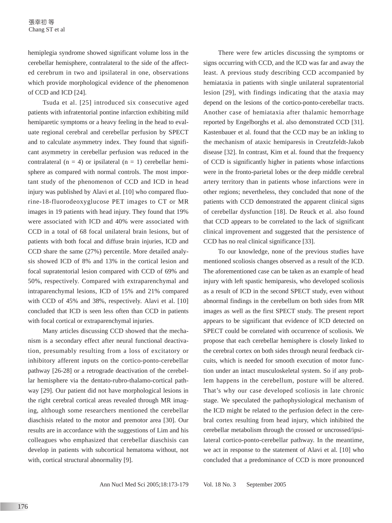hemiplegia syndrome showed significant volume loss in the cerebellar hemisphere, contralateral to the side of the affected cerebrum in two and ipsilateral in one, observations which provide morphological evidence of the phenomenon of CCD and ICD [24].

Tsuda et al. [25] introduced six consecutive aged patients with infratentorial pontine infarction exhibiting mild hemiparetic symptoms or a heavy feeling in the head to evaluate regional cerebral and cerebellar perfusion by SPECT and to calculate asymmetry index. They found that significant asymmetry in cerebellar perfusion was reduced in the contralateral ( $n = 4$ ) or ipsilateral ( $n = 1$ ) cerebellar hemisphere as compared with normal controls. The most important study of the phenomenon of CCD and ICD in head injury was published by Alavi et al. [10] who compared fluorine-18-fluorodeoxyglucose PET images to CT or MR images in 19 patients with head injury. They found that 19% were associated with ICD and 40% were associated with CCD in a total of 68 focal unilateral brain lesions, but of patients with both focal and diffuse brain injuries, ICD and CCD share the same (27%) percentile. More detailed analysis showed ICD of 8% and 13% in the cortical lesion and focal supratentorial lesion compared with CCD of 69% and 50%, respectively. Compared with extraparenchymal and intraparenchymal lesions, ICD of 15% and 21% compared with CCD of 45% and 38%, respectively. Alavi et al. [10] concluded that ICD is seen less often than CCD in patients with focal cortical or extraparenchymal injuries.

Many articles discussing CCD showed that the mechanism is a secondary effect after neural functional deactivation, presumably resulting from a loss of excitatory or inhibitory afferent inputs on the cortico-ponto-cerebellar pathway [26-28] or a retrograde deactivation of the cerebellar hemisphere via the dentato-rubro-thalamo-cortical pathway [29]. Our patient did not have morphological lesions in the right cerebral cortical areas revealed through MR imaging, although some researchers mentioned the cerebellar diaschisis related to the motor and premotor area [30]. Our results are in accordance with the suggestions of Lim and his colleagues who emphasized that cerebellar diaschisis can develop in patients with subcortical hematoma without, not with, cortical structural abnormality [9].

There were few articles discussing the symptoms or signs occurring with CCD, and the ICD was far and away the least. A previous study describing CCD accompanied by hemiataxia in patients with single unilateral supratentorial lesion [29], with findings indicating that the ataxia may depend on the lesions of the cortico-ponto-cerebellar tracts. Another case of hemiataxia after thalamic hemorrhage reported by Engelborghs et al. also demonstrated CCD [31]. Kastenbauer et al. found that the CCD may be an inkling to the mechanism of ataxic hemiparesis in Creutzfeldt-Jakob disease [32]. In contrast, Kim et al. found that the frequency of CCD is significantly higher in patients whose infarctions were in the fronto-parietal lobes or the deep middle cerebral artery territory than in patients whose infarctions were in other regions; nevertheless, they concluded that none of the patients with CCD demonstrated the apparent clinical signs of cerebellar dysfunction [18]. De Reuck et al. also found that CCD appears to be correlated to the lack of significant clinical improvement and suggested that the persistence of CCD has no real clinical significance [33].

To our knowledge, none of the previous studies have mentioned scoliosis changes observed as a result of the ICD. The aforementioned case can be taken as an example of head injury with left spastic hemiparesis, who developed scoliosis as a result of ICD in the second SPECT study, even without abnormal findings in the cerebellum on both sides from MR images as well as the first SPECT study. The present report appears to be significant that evidence of ICD detected on SPECT could be correlated with occurrence of scoliosis. We propose that each cerebellar hemisphere is closely linked to the cerebral cortex on both sides through neural feedback circuits, which is needed for smooth execution of motor function under an intact musculoskeletal system. So if any problem happens in the cerebellum, posture will be altered. That's why our case developed scoliosis in late chronic stage. We speculated the pathophysiological mechanism of the ICD might be related to the perfusion defect in the cerebral cortex resulting from head injury, which inhibited the cerebellar metabolism through the crossed or uncrossed/ipsilateral cortico-ponto-cerebellar pathway. In the meantime, we act in response to the statement of Alavi et al. [10] who concluded that a predominance of CCD is more pronounced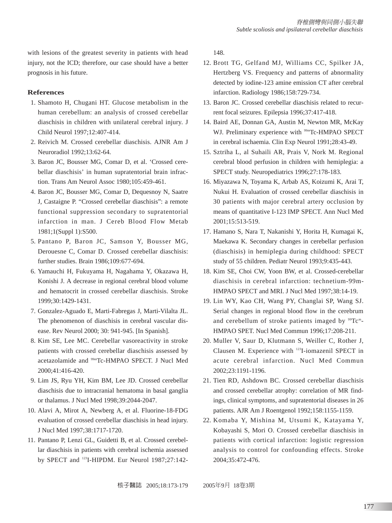with lesions of the greatest severity in patients with head injury, not the ICD; therefore, our case should have a better prognosis in his future.

### **References**

- 1. Shamoto H, Chugani HT. Glucose metabolism in the human cerebellum: an analysis of crossed cerebellar diaschisis in children with unilateral cerebral injury. J Child Neurol 1997;12:407-414.
- 2. Reivich M. Crossed cerebellar diaschisis. AJNR Am J Neuroradiol 1992;13:62-64.
- 3. Baron JC, Bousser MG, Comar D, et al. 'Crossed cerebellar diaschisis' in human supratentorial brain infraction. Trans Am Neurol Assoc 1980;105:459-461.
- 4. Baron JC, Bousser MG, Comar D, Dequesnoy N, Saatre J, Castaigne P. "Crossed cerebellar diaschisis": a remote functional suppression secondary to supratentorial infarction in man. J Cereb Blood Flow Metab 1981;1(Suppl 1):S500.
- 5. Pantano P, Baron JC, Samson Y, Bousser MG, Derouesne C, Comar D. Crossed cerebellar diaschisis: further studies. Brain 1986;109:677-694.
- 6. Yamauchi H, Fukuyama H, Nagahama Y, Okazawa H, Konishi J. A decrease in regional cerebral blood volume and hematocrit in crossed cerebellar diaschisis. Stroke 1999;30:1429-1431.
- 7. Gonzalez-Aguado E, Marti-Fabregas J, Marti-Vilalta JL. The phenomenon of diaschisis in cerebral vascular disease. Rev Neurol 2000; 30: 941-945. [In Spanish].
- 8. Kim SE, Lee MC. Cerebellar vasoreactivity in stroke patients with crossed cerebellar diaschisis assessed by acetazolamide and 99mTc-HMPAO SPECT. J Nucl Med 2000;41:416-420.
- 9. Lim JS, Ryu YH, Kim BM, Lee JD. Crossed cerebellar diaschisis due to intracranial hematoma in basal ganglia or thalamus. J Nucl Med 1998;39:2044-2047.
- 10. Alavi A, Mirot A, Newberg A, et al. Fluorine-18-FDG evaluation of crossed cerebellar diaschisis in head injury. J Nucl Med 1997;38:1717-1720.
- 11. Pantano P, Lenzi GL, Guidetti B, et al. Crossed cerebellar diaschisis in patients with cerebral ischemia assessed by SPECT and <sup>123</sup>I-HIPDM. Eur Neurol 1987;27:142-

148.

- 12. Brott TG, Gelfand MJ, Williams CC, Spilker JA, Hertzberg VS. Frequency and patterns of abnormality detected by iodine-123 amine emission CT after cerebral infarction. Radiology 1986;158:729-734.
- 13. Baron JC. Crossed cerebellar diaschisis related to recurrent focal seizures. Epilepsia 1996;37:417-418.
- 14. Baird AE, Donnan GA, Austin M, Newton MR, McKay WJ. Preliminary experience with <sup>99m</sup>Tc-HMPAO SPECT in cerebral ischaemia. Clin Exp Neurol 1991;28:43-49.
- 15. Sztriha L, al Suhaili AR, Prais V, Nork M. Regional cerebral blood perfusion in children with hemiplegia: a SPECT study. Neuropediatrics 1996;27:178-183.
- 16. Miyazawa N, Toyama K, Arbab AS, Koizumi K, Arai T, Nukui H. Evaluation of crossed cerebellar diaschisis in 30 patients with major cerebral artery occlusion by means of quantitative I-123 IMP SPECT. Ann Nucl Med 2001;15:513-519.
- 17. Hamano S, Nara T, Nakanishi Y, Horita H, Kumagai K, Maekawa K. Secondary changes in cerebellar perfusion (diaschisis) in hemiplegia during childhood: SPECT study of 55 children. Pediatr Neurol 1993;9:435-443.
- 18. Kim SE, Choi CW, Yoon BW, et al. Crossed-cerebellar diaschisis in cerebral infarction: technetium-99m-HMPAO SPECT and MRI. J Nucl Med 1997;38:14-19.
- 19. Lin WY, Kao CH, Wang PY, Changlai SP, Wang SJ. Serial changes in regional blood flow in the cerebrum and cerebellum of stroke patients imaged by  $^{99}$ Tc<sup>m</sup>-HMPAO SPET. Nucl Med Commun 1996;17:208-211.
- 20. Muller V, Saur D, Klutmann S, Weiller C, Rother J, Clausen M. Experience with 123I-iomazenil SPECT in acute cerebral infarction. Nucl Med Commun 2002;23:1191-1196.
- 21. Tien RD, Ashdown BC. Crossed cerebellar diaschisis and crossed cerebellar atrophy: correlation of MR findings, clinical symptoms, and supratentorial diseases in 26 patients. AJR Am J Roentgenol 1992;158:1155-1159.
- 22. Komaba Y, Mishina M, Utsumi K, Katayama Y, Kobayashi S, Mori O. Crossed cerebellar diaschisis in patients with cortical infarction: logistic regression analysis to control for confounding effects. Stroke 2004;35:472-476.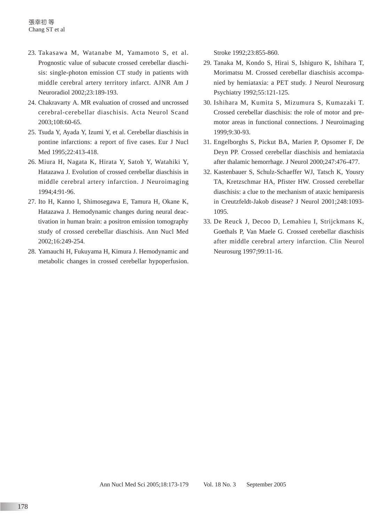- 23. Takasawa M, Watanabe M, Yamamoto S, et al. Prognostic value of subacute crossed cerebellar diaschisis: single-photon emission CT study in patients with middle cerebral artery territory infarct. AJNR Am J Neuroradiol 2002;23:189-193.
- 24. Chakravarty A. MR evaluation of crossed and uncrossed cerebral-cerebellar diaschisis. Acta Neurol Scand 2003;108:60-65.
- 25. Tsuda Y, Ayada Y, Izumi Y, et al. Cerebellar diaschisis in pontine infarctions: a report of five cases. Eur J Nucl Med 1995;22:413-418.
- 26. Miura H, Nagata K, Hirata Y, Satoh Y, Watahiki Y, Hatazawa J. Evolution of crossed cerebellar diaschisis in middle cerebral artery infarction. J Neuroimaging 1994;4:91-96.
- 27. Ito H, Kanno I, Shimosegawa E, Tamura H, Okane K, Hatazawa J. Hemodynamic changes during neural deactivation in human brain: a positron emission tomography study of crossed cerebellar diaschisis. Ann Nucl Med 2002;16:249-254.
- 28. Yamauchi H, Fukuyama H, Kimura J. Hemodynamic and metabolic changes in crossed cerebellar hypoperfusion.

Stroke 1992;23:855-860.

- 29. Tanaka M, Kondo S, Hirai S, Ishiguro K, Ishihara T, Morimatsu M. Crossed cerebellar diaschisis accompanied by hemiataxia: a PET study. J Neurol Neurosurg Psychiatry 1992;55:121-125.
- 30. Ishihara M, Kumita S, Mizumura S, Kumazaki T. Crossed cerebellar diaschisis: the role of motor and premotor areas in functional connections. J Neuroimaging 1999;9:30-93.
- 31. Engelborghs S, Pickut BA, Marien P, Opsomer F, De Deyn PP. Crossed cerebellar diaschisis and hemiataxia after thalamic hemorrhage. J Neurol 2000;247:476-477.
- 32. Kastenbauer S, Schulz-Schaeffer WJ, Tatsch K, Yousry TA, Kretzschmar HA, Pfister HW. Crossed cerebellar diaschisis: a clue to the mechanism of ataxic hemiparesis in Creutzfeldt-Jakob disease? J Neurol 2001;248:1093- 1095.
- 33. De Reuck J, Decoo D, Lemahieu I, Strijckmans K, Goethals P, Van Maele G. Crossed cerebellar diaschisis after middle cerebral artery infarction. Clin Neurol Neurosurg 1997;99:11-16.